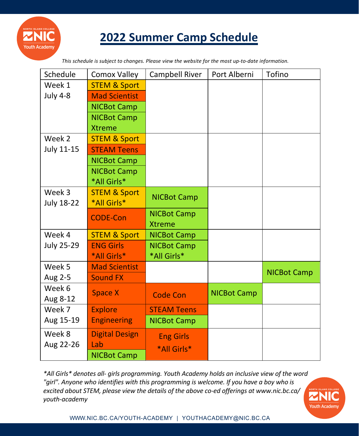

# **2022 Summer Camp Schedule**

*This schedule is subject to changes. Please view the website for the most up-to-date information.*

| Schedule          | Comox Valley            | Campbell River     | Port Alberni       | Tofino             |
|-------------------|-------------------------|--------------------|--------------------|--------------------|
| Week 1            | <b>STEM &amp; Sport</b> |                    |                    |                    |
| <b>July 4-8</b>   | <b>Mad Scientist</b>    |                    |                    |                    |
|                   | <b>NICBot Camp</b>      |                    |                    |                    |
|                   | <b>NICBot Camp</b>      |                    |                    |                    |
|                   | <b>Xtreme</b>           |                    |                    |                    |
| Week 2            | <b>STEM &amp; Sport</b> |                    |                    |                    |
| <b>July 11-15</b> | <b>STEAM Teens</b>      |                    |                    |                    |
|                   | <b>NICBot Camp</b>      |                    |                    |                    |
|                   | <b>NICBot Camp</b>      |                    |                    |                    |
|                   | *All Girls*             |                    |                    |                    |
| Week 3            | <b>STEM &amp; Sport</b> | <b>NICBot Camp</b> |                    |                    |
| <b>July 18-22</b> | *All Girls*             |                    |                    |                    |
|                   | <b>CODE-Con</b>         | <b>NICBot Camp</b> |                    |                    |
|                   |                         | <b>Xtreme</b>      |                    |                    |
| Week 4            | <b>STEM &amp; Sport</b> | <b>NICBot Camp</b> |                    |                    |
| <b>July 25-29</b> | <b>ENG Girls</b>        | <b>NICBot Camp</b> |                    |                    |
|                   | *All Girls*             | *All Girls*        |                    |                    |
| Week 5            | <b>Mad Scientist</b>    |                    |                    | <b>NICBot Camp</b> |
| Aug 2-5           | <b>Sound FX</b>         |                    |                    |                    |
| Week 6            | <b>Space X</b>          | <b>Code Con</b>    | <b>NICBot Camp</b> |                    |
| Aug 8-12          |                         |                    |                    |                    |
| Week 7            | <b>Explore</b>          | <b>STEAM Teens</b> |                    |                    |
| Aug 15-19         | <b>Engineering</b>      | <b>NICBot Camp</b> |                    |                    |
| Week 8            | <b>Digital Design</b>   | <b>Eng Girls</b>   |                    |                    |
| Aug 22-26         | Lab                     | *All Girls*        |                    |                    |
|                   | <b>NICBot Camp</b>      |                    |                    |                    |

*\*All Girls\* denotes all- girls programming. Youth Academy holds an inclusive view of the word "girl". Anyone who identifies with this programming is welcome. If you have a boy who is excited about STEM, please view the details of the above co-ed offerings at www.nic.bc.ca/ youth-academy*

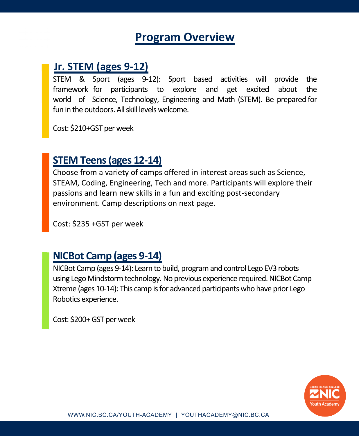# **Program Overview**

### **Jr. STEM (ages 9-12)**

STEM & Sport (ages 9-12): Sport based activities will provide the framework for participants to explore and get excited about the world of Science, Technology, Engineering and Math (STEM). Be prepared for fun in the outdoors. All skill levels welcome.

Cost: \$210+GST per week

### **STEM Teens (ages 12-14)**

Choose from a variety of camps offered in interest areas such as Science, STEAM, Coding, Engineering, Tech and more. Participants will explore their passions and learn new skills in a fun and exciting post-secondary environment. Camp descriptions on next page.

Cost: \$235 +GST per week

### **NICBot Camp (ages 9-14)**

NICBot Camp (ages 9-14): Learn to build, program and control Lego EV3 robots using Lego Mindstorm technology.No previous experience required. NICBot Camp Xtreme (ages 10-14): This camp is for advanced participants who have prior Lego Robotics experience.

Cost: \$200+ GST per week